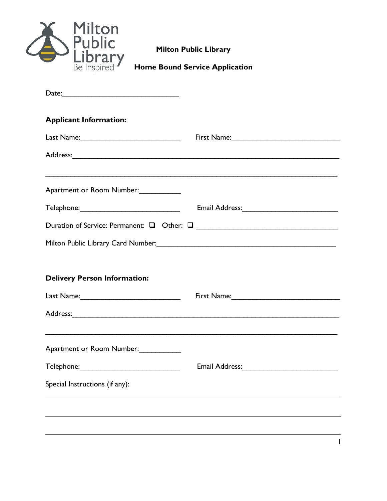| <b>Milton Public Library</b><br><b>Home Bound Service Application</b><br>Be Inspired |                                                                                                               |  |  |  |
|--------------------------------------------------------------------------------------|---------------------------------------------------------------------------------------------------------------|--|--|--|
|                                                                                      |                                                                                                               |  |  |  |
| <b>Applicant Information:</b>                                                        |                                                                                                               |  |  |  |
|                                                                                      |                                                                                                               |  |  |  |
|                                                                                      |                                                                                                               |  |  |  |
| Apartment or Room Number:                                                            |                                                                                                               |  |  |  |
|                                                                                      | Email Address: 2008 and 2010 and 2010 and 2010 and 2010 and 2010 and 2010 and 2010 and 2010 and 2010 and 2010 |  |  |  |
|                                                                                      |                                                                                                               |  |  |  |
|                                                                                      |                                                                                                               |  |  |  |
| <b>Delivery Person Information:</b>                                                  |                                                                                                               |  |  |  |
|                                                                                      | First Name:_____________________                                                                              |  |  |  |
|                                                                                      |                                                                                                               |  |  |  |
| Apartment or Room Number:                                                            |                                                                                                               |  |  |  |
|                                                                                      |                                                                                                               |  |  |  |
|                                                                                      |                                                                                                               |  |  |  |